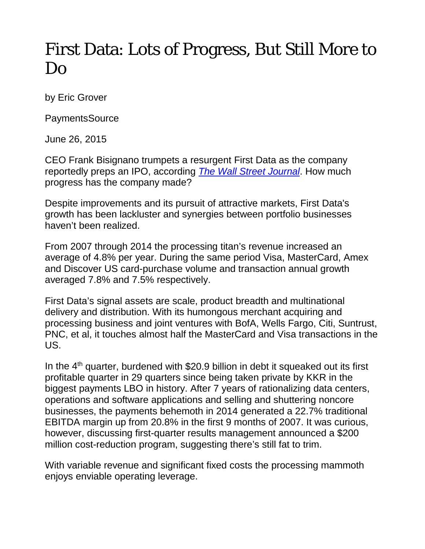## First Data: Lots of Progress, But Still More to Do

by Eric Grover

PaymentsSource

June 26, 2015

CEO Frank Bisignano trumpets a resurgent First Data as the company reportedly preps an IPO, according *[The Wall Street Journal](http://www.wsj.com/articles/first-data-reports-first-quarterly-profit-in-more-than-seven-years-1423602902)*. How much progress has the company made?

Despite improvements and its pursuit of attractive markets, First Data's growth has been lackluster and synergies between portfolio businesses haven't been realized.

From 2007 through 2014 the processing titan's revenue increased an average of 4.8% per year. During the same period Visa, MasterCard, Amex and Discover US card-purchase volume and transaction annual growth averaged 7.8% and 7.5% respectively.

First Data's signal assets are scale, product breadth and multinational delivery and distribution. With its humongous merchant acquiring and processing business and joint ventures with BofA, Wells Fargo, Citi, Suntrust, PNC, et al, it touches almost half the MasterCard and Visa transactions in the US.

In the  $4<sup>th</sup>$  quarter, burdened with \$20.9 billion in debt it squeaked out its first profitable quarter in 29 quarters since being taken private by KKR in the biggest payments LBO in history. After 7 years of rationalizing data centers, operations and software applications and selling and shuttering noncore businesses, the payments behemoth in 2014 generated a 22.7% traditional EBITDA margin up from 20.8% in the first 9 months of 2007. It was curious, however, discussing first-quarter results management announced a \$200 million cost-reduction program, suggesting there's still fat to trim.

With variable revenue and significant fixed costs the processing mammoth enjoys enviable operating leverage.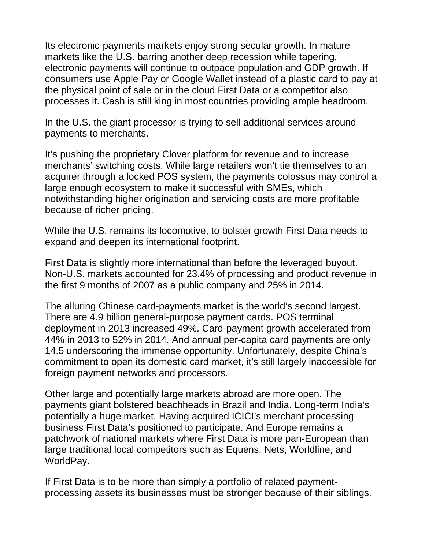Its electronic-payments markets enjoy strong secular growth. In mature markets like the U.S. barring another deep recession while tapering, electronic payments will continue to outpace population and GDP growth. If consumers use Apple Pay or Google Wallet instead of a plastic card to pay at the physical point of sale or in the cloud First Data or a competitor also processes it. Cash is still king in most countries providing ample headroom.

In the U.S. the giant processor is trying to sell additional services around payments to merchants.

It's pushing the proprietary Clover platform for revenue and to increase merchants' switching costs. While large retailers won't tie themselves to an acquirer through a locked POS system, the payments colossus may control a large enough ecosystem to make it successful with SMEs, which notwithstanding higher origination and servicing costs are more profitable because of richer pricing.

While the U.S. remains its locomotive, to bolster growth First Data needs to expand and deepen its international footprint.

First Data is slightly more international than before the leveraged buyout. Non-U.S. markets accounted for 23.4% of processing and product revenue in the first 9 months of 2007 as a public company and 25% in 2014.

The alluring Chinese card-payments market is the world's second largest. There are 4.9 billion general-purpose payment cards. POS terminal deployment in 2013 increased 49%. Card-payment growth accelerated from 44% in 2013 to 52% in 2014. And annual per-capita card payments are only 14.5 underscoring the immense opportunity. Unfortunately, despite China's commitment to open its domestic card market, it's still largely inaccessible for foreign payment networks and processors.

Other large and potentially large markets abroad are more open. The payments giant bolstered beachheads in Brazil and India. Long-term India's potentially a huge market. Having acquired ICICI's merchant processing business First Data's positioned to participate. And Europe remains a patchwork of national markets where First Data is more pan-European than large traditional local competitors such as Equens, Nets, Worldline, and WorldPay.

If First Data is to be more than simply a portfolio of related paymentprocessing assets its businesses must be stronger because of their siblings.